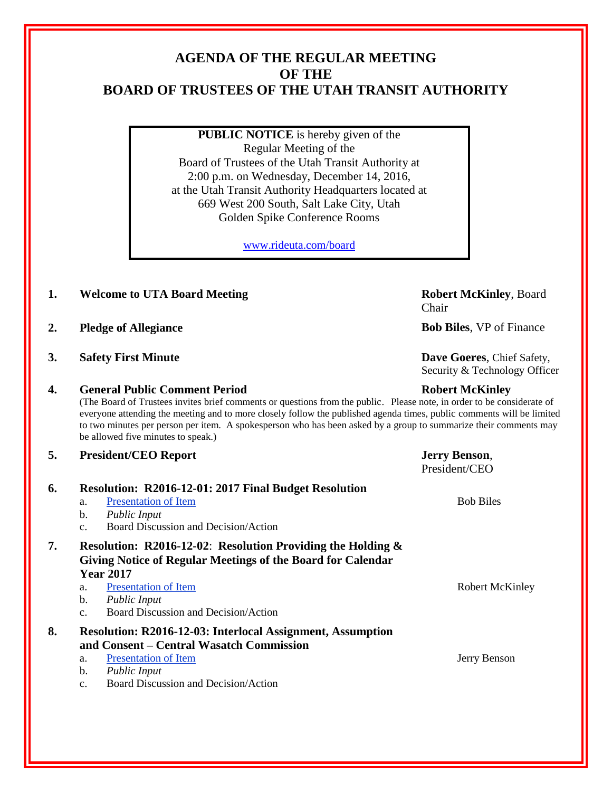# **AGENDA OF THE REGULAR MEETING OF THE BOARD OF TRUSTEES OF THE UTAH TRANSIT AUTHORITY**

**PUBLIC NOTICE** is hereby given of the Regular Meeting of the Board of Trustees of the Utah Transit Authority at 2:00 p.m. on Wednesday, December 14, 2016, at the Utah Transit Authority Headquarters located at 669 West 200 South, Salt Lake City, Utah Golden Spike Conference Rooms

[www.rideuta.com/board](http://www.rideuta.com/board)

- **1. Welcome to UTA Board Meeting <b>Robert McKinley**, Board
- **2. Pledge of Allegiance Bob Biles**, VP of Finance
- **3. Safety First Minute Dave Goeres**, Chief Safety,

## **4. General Public Comment Period Robert McKinley**

(The Board of Trustees invites brief comments or questions from the public. Please note, in order to be considerate of everyone attending the meeting and to more closely follow the published agenda times, public comments will be limited to two minutes per person per item. A spokesperson who has been asked by a group to summarize their comments may be allowed five minutes to speak.)

### **5. President/CEO Report Jerry Benson**,

|    |                                                                | President/CEO    |  |
|----|----------------------------------------------------------------|------------------|--|
| 6. | <b>Resolution: R2016-12-01: 2017 Final Budget Resolution</b>   |                  |  |
|    | <b>Presentation of Item</b><br>a.                              | <b>Bob Biles</b> |  |
|    | b.<br><b>Public Input</b>                                      |                  |  |
|    | Board Discussion and Decision/Action<br>C <sub>1</sub>         |                  |  |
| 7. | Resolution: R2016-12-02: Resolution Providing the Holding $\&$ |                  |  |
|    | Giving Notice of Regular Meetings of the Board for Calendar    |                  |  |
|    | <b>Year 2017</b>                                               |                  |  |
|    | <b>Presentation of Item</b><br>a.                              | Robert McKinley  |  |
|    | b.<br>Public Input                                             |                  |  |
|    | Board Discussion and Decision/Action<br>$C_{\cdot}$            |                  |  |
| 8. | Resolution: R2016-12-03: Interlocal Assignment, Assumption     |                  |  |
|    | and Consent – Central Wasatch Commission                       |                  |  |
|    | <b>Presentation of Item</b><br>a.                              | Jerry Benson     |  |
|    | b.<br>Public Input                                             |                  |  |
|    | Board Discussion and Decision/Action<br>C <sub>1</sub>         |                  |  |
|    |                                                                |                  |  |

Chair

Security & Technology Officer